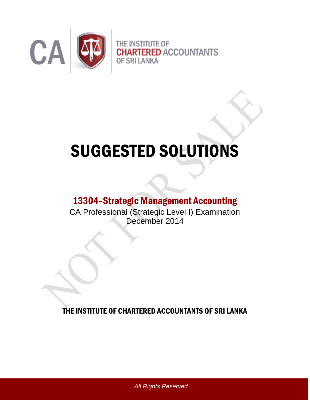

# SUGGESTED SOLUTIONS

## 13304–Strategic Management Accounting

CA Professional (Strategic Level I) Examination December 2014

THE INSTITUTE OF CHARTERED ACCOUNTANTS OF SRI LANKA

*All Rights Reserved*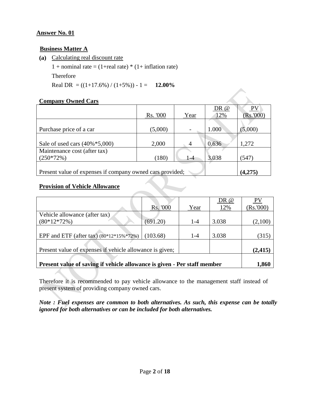## **Business Matter A**

**(a)** Calculating real discount rate

1 + nominal rate =  $(1+real rate)* (1+ inflation rate)$ Therefore

Real DR =  $((1+17.6\%) / (1+5\%) - 1 = 12.00\%$ 

## **Company Owned Cars**

|                                                           |          |         | DR@   | <b>PV</b> |
|-----------------------------------------------------------|----------|---------|-------|-----------|
|                                                           | Rs. '000 | Year    | 12%   | (Rs.000)  |
|                                                           |          |         |       |           |
| Purchase price of a car                                   | (5,000)  |         | 1.000 | (5,000)   |
|                                                           |          |         |       |           |
| Sale of used cars $(40\% * 5,000)$                        | 2,000    | 4       | 0.636 | 1,272     |
| Maintenance cost (after tax)                              |          |         |       |           |
| $(250*72%)$                                               | (180)    | $1 - 4$ | 3.038 | (547)     |
|                                                           |          |         |       |           |
| Present value of expenses if company owned cars provided; |          |         |       | (4,275)   |

## **Provision of Vehicle Allowance**

|                                                                          |          |         | DR @  | <b>PV</b> |  |
|--------------------------------------------------------------------------|----------|---------|-------|-----------|--|
|                                                                          | Rs. '000 | Year    | 12%   | (Rs.000)  |  |
| Vehicle allowance (after tax)                                            |          |         |       |           |  |
| $(80*12*72%)$                                                            | (691.20) | $1 - 4$ | 3.038 | (2,100)   |  |
|                                                                          |          |         |       |           |  |
| EPF and ETF (after tax) $(80*12*15\%*72\%)$                              | (103.68) | $1 - 4$ | 3.038 | (315)     |  |
|                                                                          |          |         |       |           |  |
| Present value of expenses if vehicle allowance is given;                 |          |         |       |           |  |
|                                                                          |          |         |       |           |  |
| Present value of saving if vehicle allowance is given - Per staff member |          |         |       | 1,860     |  |

Therefore it is recommended to pay vehicle allowance to the management staff instead of present system of providing company owned cars.

*Note : Fuel expenses are common to both alternatives. As such, this expense can be totally ignored for both alternatives or can be included for both alternatives.*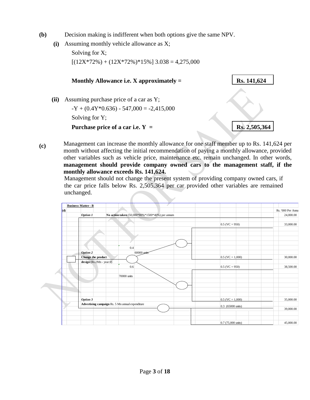- **(b)** Decision making is indifferent when both options give the same NPV.
	- **(i)** Assuming monthly vehicle allowance as X;

Solving for X;  $[(12X*72\%) + (12X*72\%) * 15\%] 3.038 = 4,275,000$ 



**(c)** Management can increase the monthly allowance for one staff member up to Rs. 141,624 per month without affecting the initial recommendation of paying a monthly allowance, provided other variables such as vehicle price, maintenance etc. remain unchanged. In other words, **management should provide company owned cars to the management staff, if the monthly allowance exceeds Rs. 141,624.**

Management should not change the present system of providing company owned cars, if the car price falls below Rs. 2,505,364 per car provided other variables are remained unchanged.

| (d) |                                                                    |                             | Rs. '000 Per Annu |
|-----|--------------------------------------------------------------------|-----------------------------|-------------------|
|     | No action taken (50,000*80%*1500*40%) per annum<br><b>Option 1</b> |                             | 24,000.00         |
|     |                                                                    |                             |                   |
|     |                                                                    | $0.5$ (VC = 950)            | 33,000.00         |
|     |                                                                    |                             |                   |
|     |                                                                    |                             |                   |
|     |                                                                    |                             |                   |
|     |                                                                    |                             |                   |
|     | 0.4                                                                |                             |                   |
|     | 60000 units<br><b>Option 2</b>                                     |                             |                   |
|     | Change the product                                                 | $0.5$ (VC = 1,000)          | 30,000.00         |
|     | design (Rs.2Mn - year 0)                                           |                             |                   |
|     | 0.6                                                                | $0.5$ (VC = 950)            | 38,500.00         |
|     |                                                                    |                             |                   |
|     | 70000 units                                                        |                             |                   |
|     |                                                                    |                             |                   |
|     |                                                                    |                             |                   |
|     |                                                                    |                             |                   |
|     |                                                                    |                             |                   |
|     | Option 3                                                           | $0.5$ (VC = 1,000)          | 35,000.00         |
|     | Advertising campaign Rs. 5 Mn annual expenditure                   | 0.3 (65000 units)           |                   |
|     |                                                                    |                             | 39,000.00         |
|     |                                                                    |                             |                   |
|     |                                                                    |                             |                   |
|     |                                                                    | $0.7(75,000 \text{ units})$ | 45,000.00         |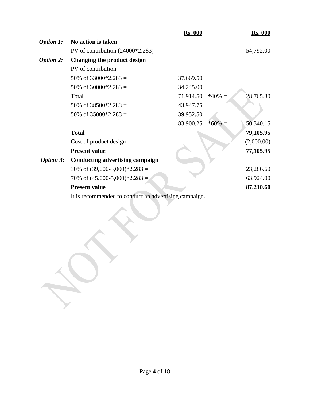|                  |                                                       | <b>Rs. 000</b> |           | <b>Rs. 000</b> |
|------------------|-------------------------------------------------------|----------------|-----------|----------------|
| <b>Option 1:</b> | No action is taken                                    |                |           |                |
|                  | PV of contribution $(24000*2.283) =$                  |                |           | 54,792.00      |
| <b>Option 2:</b> | <b>Changing the product design</b>                    |                |           |                |
|                  | PV of contribution                                    |                |           |                |
|                  | 50% of $33000*2.283 =$                                | 37,669.50      |           |                |
|                  | 50% of $30000*2.283 =$                                | 34,245.00      |           |                |
|                  | Total                                                 | 71,914.50      | $*40\% =$ | 28,765.80      |
|                  | 50% of $38500*2.283 =$                                | 43,947.75      |           |                |
|                  | 50% of $35000*2.283 =$                                | 39,952.50      |           |                |
|                  |                                                       | 83,900.25      | $*60\% =$ | 50,340.15      |
|                  | <b>Total</b>                                          |                |           | 79,105.95      |
|                  | Cost of product design                                |                |           | (2,000.00)     |
|                  | <b>Present value</b>                                  |                |           | 77,105.95      |
| <b>Option 3:</b> | <b>Conducting advertising campaign</b>                |                |           |                |
|                  | 30% of $(39,000-5,000)*2.283 =$                       |                |           | 23,286.60      |
|                  | 70% of $(45,000-5,000)*2.283 =$                       |                |           | 63,924.00      |
|                  | <b>Present value</b>                                  |                |           | 87,210.60      |
|                  | It is recommended to conduct an advertising campaign. |                |           |                |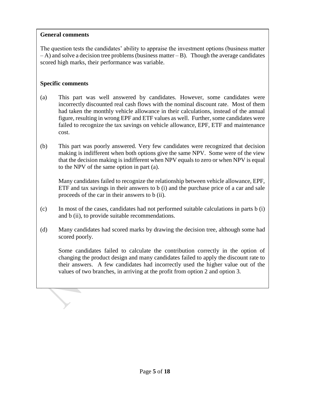## **General comments**

The question tests the candidates' ability to appraise the investment options (business matter  $(-A)$  and solve a decision tree problems (business matter  $-B$ ). Though the average candidates scored high marks, their performance was variable.

## **Specific comments**

- (a) This part was well answered by candidates. However, some candidates were incorrectly discounted real cash flows with the nominal discount rate. Most of them had taken the monthly vehicle allowance in their calculations, instead of the annual figure, resulting in wrong EPF and ETF values as well. Further, some candidates were failed to recognize the tax savings on vehicle allowance, EPF, ETF and maintenance cost.
- (b) This part was poorly answered. Very few candidates were recognized that decision making is indifferent when both options give the same NPV. Some were of the view that the decision making is indifferent when NPV equals to zero or when NPV is equal to the NPV of the same option in part (a).

Many candidates failed to recognize the relationship between vehicle allowance, EPF, ETF and tax savings in their answers to b (i) and the purchase price of a car and sale proceeds of the car in their answers to b (ii).

- (c) In most of the cases, candidates had not performed suitable calculations in parts b (i) and b (ii), to provide suitable recommendations.
- (d) Many candidates had scored marks by drawing the decision tree, although some had scored poorly.

Some candidates failed to calculate the contribution correctly in the option of changing the product design and many candidates failed to apply the discount rate to their answers. A few candidates had incorrectly used the higher value out of the values of two branches, in arriving at the profit from option 2 and option 3.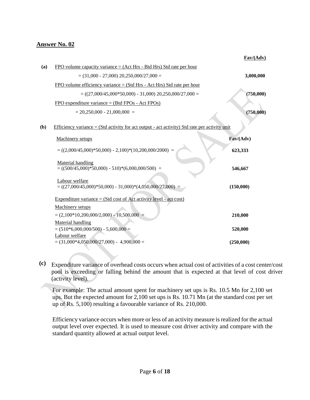| Fav/(Adv) |
|-----------|
|           |

| (a) | $FPO$ volume capacity variance = (Act Hrs - Btd Hrs) Std rate per hour                          |           |
|-----|-------------------------------------------------------------------------------------------------|-----------|
|     | $=$ (31,000 - 27,000) 20,250,000/27,000 =                                                       | 3,000,000 |
|     | $FPO$ volume efficiency variance = (Std Hrs - Act Hrs) Std rate per hour                        |           |
|     | $= ((27,000/45,000*50,000) - 31,000) 20,250,000/27,000 =$                                       | (750,000) |
|     | FPO expenditure variance = $(Btd$ FPOs - Act FPOs)                                              |           |
|     | $= 20,250,000 - 21,000,000 =$                                                                   | (750,000) |
| (b) | Efficiency variance $= (Std activity for act output - act activity) Std rate per activity unit$ |           |
|     | <b>Machinery setups</b>                                                                         | Fav/(Adv) |
|     | $= ((2,000/45,000)*50,000) - 2,100)*(10,200,000/2000) =$                                        | 623,333   |
|     | Material handling<br>$= ((500/45,000)*50,000) - 510)*(6,000,000/500) =$                         | 546,667   |
|     | Labour welfare<br>$= ((27,000/45,000)*50,000) - 31,000)*(4,050,000/27,000) =$                   | (150,000) |
|     | Expenditure variance = $(Std cost of Act activity level - act cost)$                            |           |
|     | Machinery setups                                                                                |           |
|     | $=(2,100*10,200,000/2,000) - 10,500,000 =$                                                      | 210,000   |
|     | Material handling<br>$= (510*6,000,000/500) - 5,600,000 =$                                      | 520,000   |
|     | Labour welfare<br>$= (31,000*4,050,000/27,000) - 4,900,000 =$                                   | (250,000) |

**(c)** Expenditure variance of overhead costs occurs when actual cost of activities of a cost center/cost pool is exceeding or falling behind the amount that is expected at that level of cost driver (activity level).

For example: The actual amount spent for machinery set ups is Rs. 10.5 Mn for 2,100 set ups. But the expected amount for 2,100 set ups is Rs. 10.71 Mn (at the standard cost per set up of Rs. 5,100) resulting a favourable variance of Rs. 210,000.

Efficiency variance occurs when more or less of an activity measure is realized for the actual output level over expected. It is used to measure cost driver activity and compare with the standard quantity allowed at actual output level.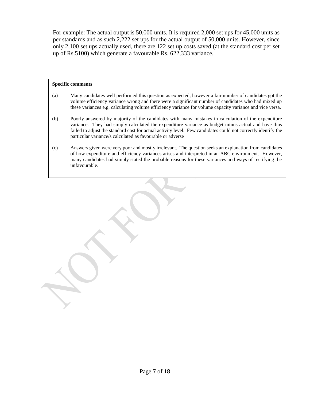For example: The actual output is 50,000 units. It is required 2,000 set ups for 45,000 units as per standards and as such 2,222 set ups for the actual output of 50,000 units. However, since only 2,100 set ups actually used, there are 122 set up costs saved (at the standard cost per set up of Rs.5100) which generate a favourable Rs. 622,333 variance.

#### **Specific comments**

- (a) Many candidates well performed this question as expected, however a fair number of candidates got the volume efficiency variance wrong and there were a significant number of candidates who had mixed up these variances e.g. calculating volume efficiency variance for volume capacity variance and vice versa.
- (b) Poorly answered by majority of the candidates with many mistakes in calculation of the expenditure variance. They had simply calculated the expenditure variance as budget minus actual and have thus failed to adjust the standard cost for actual activity level. Few candidates could not correctly identify the particular variance/s calculated as favourable or adverse
- (c) Answers given were very poor and mostly irrelevant. The question seeks an explanation from candidates of how expenditure and efficiency variances arises and interpreted in an ABC environment. However, many candidates had simply stated the probable reasons for these variances and ways of rectifying the unfavourable.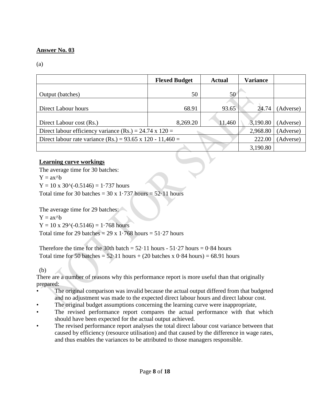## (a)

|                                                            | <b>Flexed Budget</b><br><b>Actual</b> |        | <b>Variance</b> |           |
|------------------------------------------------------------|---------------------------------------|--------|-----------------|-----------|
| Output (batches)                                           | 50                                    | 50     |                 |           |
|                                                            |                                       |        |                 |           |
|                                                            |                                       |        |                 |           |
| Direct Labour hours                                        | 68.91                                 | 93.65  | 24.74           | (Adverse) |
|                                                            |                                       |        |                 |           |
| Direct Labour cost (Rs.)                                   | 8,269.20                              | 11,460 | 3,190.80        | (Adverse) |
| Direct labour efficiency variance (Rs.) = 24.74 x 120 =    |                                       |        | 2,968.80        | (Adverse) |
| Direct labour rate variance (Rs.) = 93.65 x 120 - 11,460 = |                                       |        | 222.00          | (Adverse) |
|                                                            |                                       |        | 3,190.80        |           |

## **Learning curve workings**

The average time for 30 batches:

 $Y = ax^h$ 

 $Y = 10 \times 30$ <sup>o</sup>(-0.5146) = 1.737 hours

Total time for 30 batches =  $30 \times 1.737$  hours =  $52.11$  hours

The average time for 29 batches:

 $Y = ax^b$ 

 $Y = 10 \times 29$ <sup> $\land$ </sup> $(-0.5146) = 1.768$  hours

Total time for 29 batches =  $29 \times 1.768$  hours =  $51.27$  hours

Therefore the time for the 30th batch =  $52 \cdot 11$  hours -  $51 \cdot 27$  hours = 0.84 hours Total time for 50 batches =  $52.11$  hours + (20 batches x 0.84 hours) = 68.91 hours

(b)

There are a number of reasons why this performance report is more useful than that originally prepared:

- The original comparison was invalid because the actual output differed from that budgeted and no adjustment was made to the expected direct labour hours and direct labour cost.
- The original budget assumptions concerning the learning curve were inappropriate,
- The revised performance report compares the actual performance with that which should have been expected for the actual output achieved.
- The revised performance report analyses the total direct labour cost variance between that caused by efficiency (resource utilisation) and that caused by the difference in wage rates, and thus enables the variances to be attributed to those managers responsible.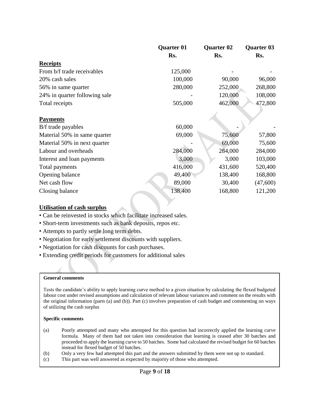|                               | <b>Quarter 01</b> | <b>Quarter 02</b> | <b>Quarter 03</b> |
|-------------------------------|-------------------|-------------------|-------------------|
|                               | Rs.               | Rs.               | Rs.               |
| <b>Receipts</b>               |                   |                   |                   |
| From b/f trade receivables    | 125,000           |                   |                   |
| 20% cash sales                | 100,000           | 90,000            | 96,000            |
| 56% in same quarter           | 280,000           | 252,000           | 268,800           |
| 24% in quarter following sale |                   | 120,000           | 108,000           |
| Total receipts                | 505,000           | 462,000           | 472,800           |
| <b>Payments</b>               |                   |                   |                   |
| B/f trade payables            | 60,000            |                   |                   |
| Material 50% in same quarter  | 69,000            | 75,600            | 57,800            |
| Material 50% in next quarter  |                   | 69,000            | 75,600            |
| Labour and overheads          | 284,000           | 284,000           | 284,000           |
| Interest and loan payments    | 3,000             | 3,000             | 103,000           |
| Total payments                | 416,000           | 431,600           | 520,400           |
| Opening balance               | 49,400            | 138,400           | 168,800           |
| Net cash flow                 | 89,000            | 30,400            | (47,600)          |
| Closing balance               | 138,400           | 168,800           | 121,200           |

## **Utilisation of cash surplus**

- Can be reinvested in stocks which facilitate increased sales.
- Short-term investments such as bank deposits, repos etc.
- Attempts to partly settle long term debts.
- Negotiation for early settlement discounts with suppliers.
- Negotiation for cash discounts for cash purchases.
- Extending credit periods for customers for additional sales

#### **General comments**

Tests the candidate's ability to apply learning curve method to a given situation by calculating the flexed budgeted labour cost under revised assumptions and calculation of relevant labour variances and comment on the results with the original information (parts (a) and (b)). Part (c) involves preparation of cash budget and commenting on ways of utilizing the cash surplus

#### **Specific comments**

- (a) Poorly attempted and many who attempted for this question had incorrectly applied the learning curve formula. Many of them had not taken into consideration that learning is ceased after 30 batches and proceeded to apply the learning curve to 50 batches. Some had calculated the revised budget for 60 batches instead for flexed budget of 50 batches.
- (b) Only a very few had attempted this part and the answers submitted by them were not up to standard.
- (c) This part was well answered as expected by majority of those who attempted.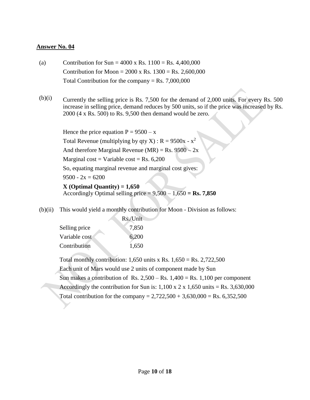- (a) Contribution for  $Sun = 4000 \times \text{Rs.} 1100 = \text{Rs.} 4,400,000$ Contribution for Moon =  $2000 \times$  Rs.  $1300 =$  Rs.  $2,600,000$ Total Contribution for the company  $=$  Rs. 7,000,000
- $(b)(i)$  Currently the selling price is Rs. 7,500 for the demand of 2,000 units. For every Rs. 500 increase in selling price, demand reduces by 500 units, so if the price was increased by Rs. 2000 (4 x Rs. 500) to Rs. 9,500 then demand would be zero.

Hence the price equation  $P = 9500 - x$ Total Revenue (multiplying by qty X) :  $R = 9500x - x^2$ And therefore Marginal Revenue (MR) = Rs.  $9500 - 2x$ Marginal cost = Variable cost = Rs.  $6,200$ So, equating marginal revenue and marginal cost gives:  $9500 - 2x = 6200$ **X (Optimal Quantity) = 1,650**  Accordingly Optimal selling price  $= 9,500 - 1,650 =$ **Rs.** 7,850

(b)(ii) This would yield a monthly contribution for Moon - Division as follows:

|               | Rs./Unit |
|---------------|----------|
| Selling price | 7,850    |
| Variable cost | 6,200    |
| Contribution  | 1,650    |

Total monthly contribution:  $1,650$  units x Rs.  $1,650 =$  Rs.  $2,722,500$ Each unit of Mars would use 2 units of component made by Sun Sun makes a contribution of Rs.  $2,500 -$ Rs.  $1,400 =$ Rs.  $1,100$  per component Accordingly the contribution for Sun is:  $1,100 \times 2 \times 1,650$  units = Rs. 3,630,000 Total contribution for the company =  $2,722,500 + 3,630,000 = \text{Rs. } 6,352,500$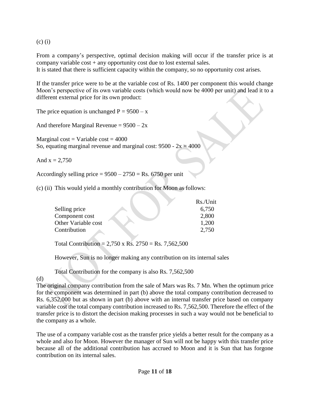(c) (i)

From a company's perspective, optimal decision making will occur if the transfer price is at company variable cost + any opportunity cost due to lost external sales.

It is stated that there is sufficient capacity within the company, so no opportunity cost arises.

If the transfer price were to be at the variable cost of Rs. 1400 per component this would change Moon's perspective of its own variable costs (which would now be 4000 per unit) and lead it to a different external price for its own product:

The price equation is unchanged  $P = 9500 - x$ 

And therefore Marginal Revenue =  $9500 - 2x$ 

Marginal cost = Variable cost =  $4000$ So, equating marginal revenue and marginal cost:  $9500 - 2x = 4000$ 

And  $x = 2,750$ 

Accordingly selling price  $= 9500 - 2750 = \text{Rs.} 6750$  per unit

(c) (ii) This would yield a monthly contribution for Moon as follows:

|                     | Rs./Unit |
|---------------------|----------|
| Selling price       | 6,750    |
| Component cost      | 2,800    |
| Other Variable cost | 1,200    |
| Contribution        | 2.750    |

Total Contribution =  $2,750 \times$  Rs.  $2750 =$  Rs.  $7,562,500$ 

However, Sun is no longer making any contribution on its internal sales

Total Contribution for the company is also Rs. 7,562,500

### (d)

The original company contribution from the sale of Mars was Rs. 7 Mn. When the optimum price for the component was determined in part (b) above the total company contribution decreased to Rs. 6,352,000 but as shown in part (b) above with an internal transfer price based on company variable cost the total company contribution increased to Rs. 7,562,500. Therefore the effect of the transfer price is to distort the decision making processes in such a way would not be beneficial to the company as a whole.

The use of a company variable cost as the transfer price yields a better result for the company as a whole and also for Moon. However the manager of Sun will not be happy with this transfer price because all of the additional contribution has accrued to Moon and it is Sun that has forgone contribution on its internal sales.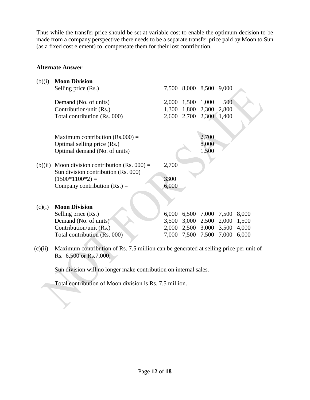Thus while the transfer price should be set at variable cost to enable the optimum decision to be made from a company perspective there needs to be a separate transfer price paid by Moon to Sun (as a fixed cost element) to compensate them for their lost contribution.

## **Alternate Answer**

| (b)(i) | <b>Moon Division</b>                                                                     |       |                   |             |       |       |
|--------|------------------------------------------------------------------------------------------|-------|-------------------|-------------|-------|-------|
|        | Selling price (Rs.)                                                                      |       | 7,500 8,000 8,500 |             | 9,000 |       |
|        | Demand (No. of units)                                                                    | 2,000 | 1,500             | 1,000       | 500   |       |
|        | Contribution/unit (Rs.)                                                                  | 1,300 | 1,800             | 2,300       | 2,800 |       |
|        | Total contribution (Rs. 000)                                                             |       | 2,600 2,700 2,300 |             | 1,400 |       |
|        |                                                                                          |       |                   |             |       |       |
|        | Maximum contribution $(Rs.000)$ =                                                        |       |                   | 2,700       |       |       |
|        | Optimal selling price (Rs.)                                                              |       |                   | 8,000       |       |       |
|        | Optimal demand (No. of units)                                                            |       |                   | 1,500       |       |       |
|        | (b)(ii) Moon division contribution (Rs. $000$ ) =<br>Sun division contribution (Rs. 000) | 2,700 |                   |             |       |       |
|        | $(1500*1100*2) =$                                                                        | 3300  |                   |             |       |       |
|        | Company contribution $(Rs.) =$                                                           | 6,000 |                   |             |       |       |
|        |                                                                                          |       |                   |             |       |       |
| (c)(i) | <b>Moon Division</b>                                                                     |       |                   |             |       |       |
|        | Selling price (Rs.)                                                                      | 6,000 | 6,500             | 7,000       | 7,500 | 8,000 |
|        | Demand (No. of units)                                                                    | 3,500 | 3,000             | 2,500       | 2,000 | 1,500 |
|        | Contribution/unit (Rs.)                                                                  | 2,000 |                   | 2,500 3,000 | 3,500 | 4,000 |
|        | Total contribution (Rs. 000)                                                             | 7,000 | 7,500             | 7,500       | 7,000 | 6,000 |
|        |                                                                                          |       |                   |             |       |       |

(c)(ii) Maximum contribution of Rs. 7.5 million can be generated at selling price per unit of Rs. 6,500 or Rs.7,000;

Sun division will no longer make contribution on internal sales.

Total contribution of Moon division is Rs. 7.5 million.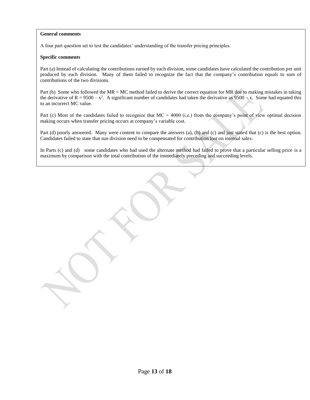#### **General comments**

A four part question set to test the candidates' understanding of the transfer pricing principles.

#### **Specific comments**

Part (a) Instead of calculating the contributions earned by each division, some candidates have calculated the contribution per unit produced by each division. Many of them failed to recognize the fact that the company's contribution equals to sum of contributions of the two divisions.

Part (b) Some who followed the MR = MC method failed to derive the correct equation for MR due to making mistakes in taking the derivative of  $R = 9500 - x^2$ . A significant number of candidates had taken the derivative as  $9500 - x$ . Some had equated this to an incorrect MC value.

Part (c) Most of the candidates failed to recognize that  $MC = 4000$  (i.e.) from the company's point of view optimal decision making occurs when transfer pricing occurs at company's variable cost.

Part (d) poorly answered. Many were content to compare the answers (a), (b) and (c) and just stated that (c) is the best option. Candidates failed to state that sun division need to be compensated for contribution lost on internal sales.

In Parts (c) and (d) some candidates who had used the alternate method had failed to prove that a particular selling price is a maximum by comparison with the total contribution of the immediately preceding and succeeding levels.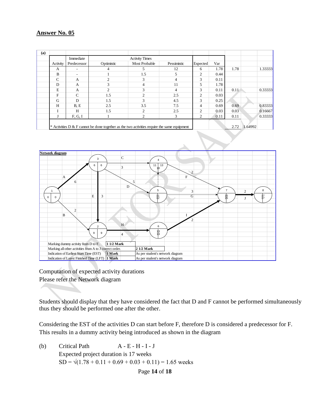| (a) |              |               |            |                                                                                             |             |          |      |      |         |         |
|-----|--------------|---------------|------------|---------------------------------------------------------------------------------------------|-------------|----------|------|------|---------|---------|
|     |              | Immediate     |            | <b>Activity Times</b>                                                                       |             |          |      |      |         |         |
|     | Activity     | Predecessor   | Optimistic | <b>Most Probable</b>                                                                        | Pessimistic | Expected | Var  |      |         |         |
|     | A            |               |            | 5                                                                                           | 12          | 6        | 1.78 | 1.78 |         | 1.33333 |
|     | B            |               |            | 1.5                                                                                         | 5           | 2        | 0.44 |      |         |         |
|     | $\mathsf{C}$ | A             |            | 3                                                                                           | 4           | 3        | 0.11 |      |         |         |
|     | D            | A             | 3          | 4                                                                                           | 11          | 5        | 1.78 |      |         |         |
|     | E            | A             |            | 3                                                                                           | 4           | 3        | 0.11 | 0.11 |         | 0.33333 |
|     | F            | $\mathcal{C}$ | 1.5        | 2                                                                                           | 2.5         | 2        | 0.03 |      |         |         |
|     | G            | D             | 1.5        | $\mathcal{R}$                                                                               | 4.5         | 3        | 0.25 |      |         |         |
|     | H            | B.E           | 2.5        | 3.5                                                                                         | 7.5         | 4        | 0.69 | 0.69 |         | 0.83333 |
|     |              | H             | 1.5        | 2                                                                                           | 2.5         | 2        | 0.03 | 0.03 |         | 0.16667 |
|     |              | F, G, I       |            | 2                                                                                           | 3           | 2        | 0.11 | 0.11 |         | 0.33333 |
|     |              |               |            |                                                                                             |             |          |      |      |         |         |
|     |              |               |            | * Activities D & F cannot be done together as the two activities require the same equipment |             |          |      | 2.72 | 1.64992 |         |



Computation of expected activity durations Please refer the Network diagram

Students should display that they have considered the fact that D and F cannot be performed simultaneously thus they should be performed one after the other.

Considering the EST of the activities D can start before F, therefore D is considered a predecessor for F. This results in a dummy activity being introduced as shown in the diagram

(b) Critical Path  $A - E - H - I - J$ Expected project duration is 17 weeks  $SD = \sqrt{(1.78 + 0.11 + 0.69 + 0.03 + 0.11)} = 1.65$  weeks

## Page **14** of **18**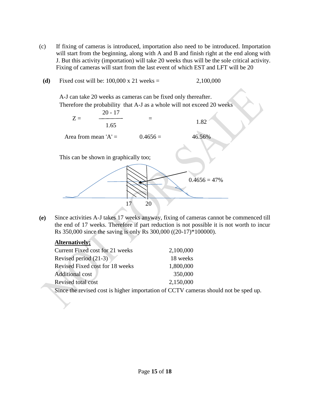- (c) If fixing of cameras is introduced, importation also need to be introduced. Importation will start from the beginning, along with A and B and finish right at the end along with J. But this activity (importation) will take 20 weeks thus will be the sole critical activity. Fixing of cameras will start from the last event of which EST and LFT will be 20
- **(d)** Fixed cost will be: 100,000 x 21 weeks = 2,100,000

A-J can take 20 weeks as cameras can be fixed only thereafter. Therefore the probability that A-J as a whole will not exceed 20 weeks





**(e)** Since activities A-J takes 17 weeks anyway, fixing of cameras cannot be commenced till the end of 17 weeks. Therefore if part reduction is not possible it is not worth to incur Rs 350,000 since the saving is only Rs 300,000 ((20-17)\*100000).

## **Alternatively;**

| Current Fixed cost for 21 weeks | 2,100,000 |
|---------------------------------|-----------|
| Revised period (21-3)           | 18 weeks  |
| Revised Fixed cost for 18 weeks | 1,800,000 |
| <b>Additional cost</b>          | 350,000   |
| Revised total cost              | 2,150,000 |

Since the revised cost is higher importation of CCTV cameras should not be sped up.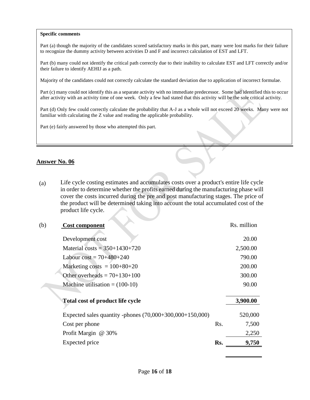#### **Specific comments**

Part (a) though the majority of the candidates scored satisfactory marks in this part, many were lost marks for their failure to recognize the dummy activity between activities D and F and incorrect calculation of EST and LFT.

Part (b) many could not identify the critical path correctly due to their inability to calculate EST and LFT correctly and/or their failure to identify AEHIJ as a path.

Majority of the candidates could not correctly calculate the standard deviation due to application of incorrect formulae.

Part (c) many could not identify this as a separate activity with no immediate predecessor. Some had identified this to occur after activity with an activity time of one week. Only a few had stated that this activity will be the sole critical activity.

Part (d) Only few could correctly calculate the probability that A-J as a whole will not exceed 20 weeks. Many were not familiar with calculating the Z value and reading the applicable probability.

Part (e) fairly answered by those who attempted this part.

#### **Answer No. 06**

(a) Life cycle costing estimates and accumulates costs over a product's entire life cycle in order to determine whether the profits earned during the manufacturing phase will cover the costs incurred during the pre and post manufacturing stages. The price of the product will be determined taking into account the total accumulated cost of the product life cycle.

## (b) **Cost component** Rs. million

| Сож сошронене                                            |     |          |
|----------------------------------------------------------|-----|----------|
| Development cost                                         |     | 20.00    |
| Material costs = $350+1430+720$                          |     | 2,500.00 |
| Labour cost = $70+480+240$                               |     | 790.00   |
| Marketing costs $= 100+80+20$                            |     | 200.00   |
| Other overheads = $70+130+100$                           |     | 300.00   |
| Machine utilisation $= (100-10)$                         |     | 90.00    |
|                                                          |     |          |
| <b>Total cost of product life cycle</b>                  |     | 3,900.00 |
| Expected sales quantity -phones (70,000+300,000+150,000) |     | 520,000  |
| Cost per phone                                           | Rs. | 7,500    |
| Profit Margin @ 30%                                      |     | 2,250    |
| Expected price                                           | Rs. | 9,750    |
|                                                          |     |          |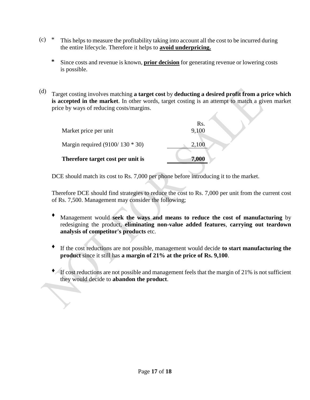- (c) \* This helps to measure the profitability taking into account all the cost to be incurred during the entire lifecycle. Therefore it helps to **avoid underpricing.**
	- **\*** Since costs and revenue is known, **prior decision** for generating revenue or lowering costs is possible.
- (d) Target costing involves matching **a target cost** by **deducting a desired profit from a price which is accepted in the market**. In other words, target costing is an attempt to match a given market price by ways of reducing costs/margins.

|                                   | Rs.   |
|-----------------------------------|-------|
| Market price per unit             | 9,100 |
| Margin required $(9100/130 * 30)$ | 2,100 |
| Therefore target cost per unit is | 7,000 |

DCE should match its cost to Rs. 7,000 per phone before introducing it to the market.

Therefore DCE should find strategies to reduce the cost to Rs. 7,000 per unit from the current cost of Rs. 7,500. Management may consider the following;

- Management would seek the ways and means to reduce the cost of manufacturing by redesigning the product, **eliminating non-value added features**, **carrying out teardown analysis of competitor's products** etc.
- If the cost reductions are not possible, management would decide to start manufacturing the **product** since it still has **a margin of 21% at the price of Rs. 9,100**.
- ♦ If cost reductions are not possible and management feels that the margin of 21% is not sufficient they would decide to **abandon the product**.